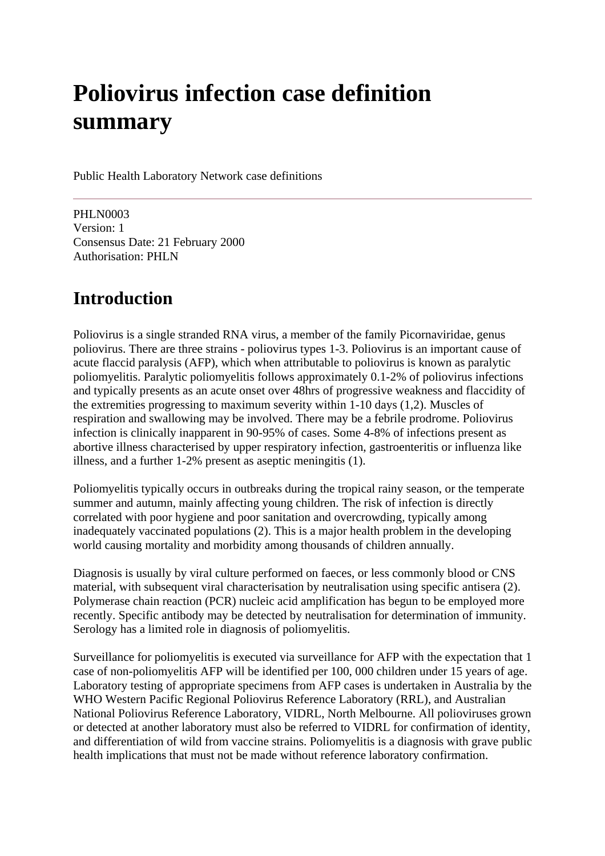# **Poliovirus infection case definition summary**

Public Health Laboratory Network case definitions

PHLN0003 Version: 1 Consensus Date: 21 February 2000 Authorisation: PHLN

# **Introduction**

Poliovirus is a single stranded RNA virus, a member of the family Picornaviridae, genus poliovirus. There are three strains - poliovirus types 1-3. Poliovirus is an important cause of acute flaccid paralysis (AFP), which when attributable to poliovirus is known as paralytic poliomyelitis. Paralytic poliomyelitis follows approximately 0.1-2% of poliovirus infections and typically presents as an acute onset over 48hrs of progressive weakness and flaccidity of the extremities progressing to maximum severity within 1-10 days (1,2). Muscles of respiration and swallowing may be involved. There may be a febrile prodrome. Poliovirus infection is clinically inapparent in 90-95% of cases. Some 4-8% of infections present as abortive illness characterised by upper respiratory infection, gastroenteritis or influenza like illness, and a further 1-2% present as aseptic meningitis (1).

Poliomyelitis typically occurs in outbreaks during the tropical rainy season, or the temperate summer and autumn, mainly affecting young children. The risk of infection is directly correlated with poor hygiene and poor sanitation and overcrowding, typically among inadequately vaccinated populations (2). This is a major health problem in the developing world causing mortality and morbidity among thousands of children annually.

Diagnosis is usually by viral culture performed on faeces, or less commonly blood or CNS material, with subsequent viral characterisation by neutralisation using specific antisera (2). Polymerase chain reaction (PCR) nucleic acid amplification has begun to be employed more recently. Specific antibody may be detected by neutralisation for determination of immunity. Serology has a limited role in diagnosis of poliomyelitis.

Surveillance for poliomyelitis is executed via surveillance for AFP with the expectation that 1 case of non-poliomyelitis AFP will be identified per 100, 000 children under 15 years of age. Laboratory testing of appropriate specimens from AFP cases is undertaken in Australia by the WHO Western Pacific Regional Poliovirus Reference Laboratory (RRL), and Australian National Poliovirus Reference Laboratory, VIDRL, North Melbourne. All polioviruses grown or detected at another laboratory must also be referred to VIDRL for confirmation of identity, and differentiation of wild from vaccine strains. Poliomyelitis is a diagnosis with grave public health implications that must not be made without reference laboratory confirmation.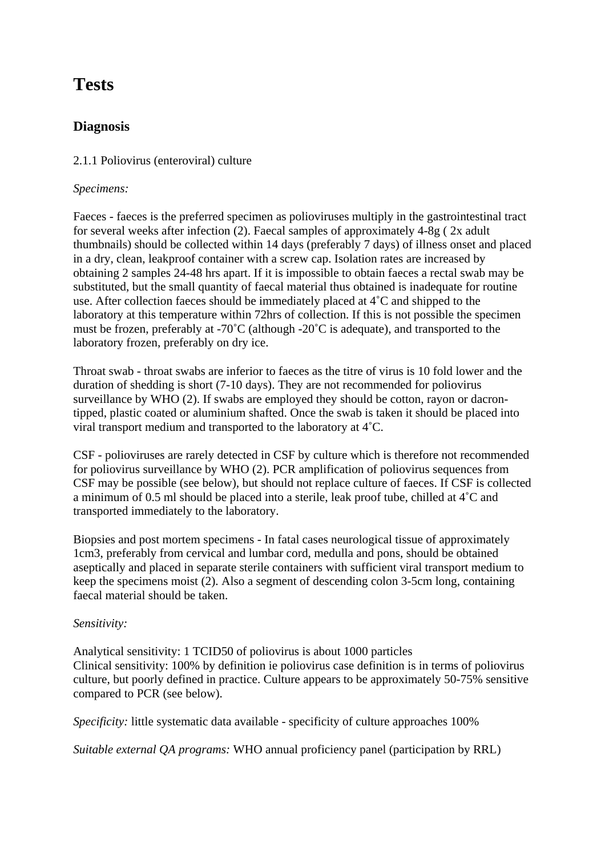# **Tests**

# **Diagnosis**

#### 2.1.1 Poliovirus (enteroviral) culture

#### *Specimens:*

Faeces - faeces is the preferred specimen as polioviruses multiply in the gastrointestinal tract for several weeks after infection (2). Faecal samples of approximately 4-8g ( 2x adult thumbnails) should be collected within 14 days (preferably 7 days) of illness onset and placed in a dry, clean, leakproof container with a screw cap. Isolation rates are increased by obtaining 2 samples 24-48 hrs apart. If it is impossible to obtain faeces a rectal swab may be substituted, but the small quantity of faecal material thus obtained is inadequate for routine use. After collection faeces should be immediately placed at 4˚C and shipped to the laboratory at this temperature within 72hrs of collection. If this is not possible the specimen must be frozen, preferably at -70˚C (although -20˚C is adequate), and transported to the laboratory frozen, preferably on dry ice.

Throat swab - throat swabs are inferior to faeces as the titre of virus is 10 fold lower and the duration of shedding is short (7-10 days). They are not recommended for poliovirus surveillance by WHO (2). If swabs are employed they should be cotton, rayon or dacrontipped, plastic coated or aluminium shafted. Once the swab is taken it should be placed into viral transport medium and transported to the laboratory at 4˚C.

CSF - polioviruses are rarely detected in CSF by culture which is therefore not recommended for poliovirus surveillance by WHO (2). PCR amplification of poliovirus sequences from CSF may be possible (see below), but should not replace culture of faeces. If CSF is collected a minimum of 0.5 ml should be placed into a sterile, leak proof tube, chilled at 4˚C and transported immediately to the laboratory.

Biopsies and post mortem specimens - In fatal cases neurological tissue of approximately 1cm3, preferably from cervical and lumbar cord, medulla and pons, should be obtained aseptically and placed in separate sterile containers with sufficient viral transport medium to keep the specimens moist (2). Also a segment of descending colon 3-5cm long, containing faecal material should be taken.

#### *Sensitivity:*

Analytical sensitivity: 1 TCID50 of poliovirus is about 1000 particles Clinical sensitivity: 100% by definition ie poliovirus case definition is in terms of poliovirus culture, but poorly defined in practice. Culture appears to be approximately 50-75% sensitive compared to PCR (see below).

*Specificity:* little systematic data available - specificity of culture approaches 100%

*Suitable external QA programs:* WHO annual proficiency panel (participation by RRL)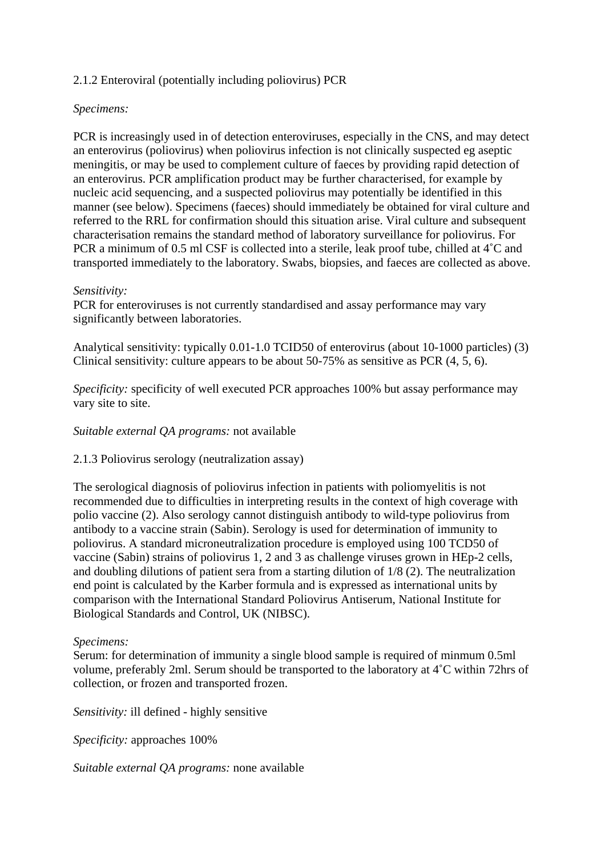#### 2.1.2 Enteroviral (potentially including poliovirus) PCR

#### *Specimens:*

PCR is increasingly used in of detection enteroviruses, especially in the CNS, and may detect an enterovirus (poliovirus) when poliovirus infection is not clinically suspected eg aseptic meningitis, or may be used to complement culture of faeces by providing rapid detection of an enterovirus. PCR amplification product may be further characterised, for example by nucleic acid sequencing, and a suspected poliovirus may potentially be identified in this manner (see below). Specimens (faeces) should immediately be obtained for viral culture and referred to the RRL for confirmation should this situation arise. Viral culture and subsequent characterisation remains the standard method of laboratory surveillance for poliovirus. For PCR a minimum of 0.5 ml CSF is collected into a sterile, leak proof tube, chilled at 4˚C and transported immediately to the laboratory. Swabs, biopsies, and faeces are collected as above.

#### *Sensitivity:*

PCR for enteroviruses is not currently standardised and assay performance may vary significantly between laboratories.

Analytical sensitivity: typically 0.01-1.0 TCID50 of enterovirus (about 10-1000 particles) (3) Clinical sensitivity: culture appears to be about 50-75% as sensitive as PCR (4, 5, 6).

*Specificity:* specificity of well executed PCR approaches 100% but assay performance may vary site to site.

#### *Suitable external QA programs:* not available

#### 2.1.3 Poliovirus serology (neutralization assay)

The serological diagnosis of poliovirus infection in patients with poliomyelitis is not recommended due to difficulties in interpreting results in the context of high coverage with polio vaccine (2). Also serology cannot distinguish antibody to wild-type poliovirus from antibody to a vaccine strain (Sabin). Serology is used for determination of immunity to poliovirus. A standard microneutralization procedure is employed using 100 TCD50 of vaccine (Sabin) strains of poliovirus 1, 2 and 3 as challenge viruses grown in HEp-2 cells, and doubling dilutions of patient sera from a starting dilution of 1/8 (2). The neutralization end point is calculated by the Karber formula and is expressed as international units by comparison with the International Standard Poliovirus Antiserum, National Institute for Biological Standards and Control, UK (NIBSC).

#### *Specimens:*

Serum: for determination of immunity a single blood sample is required of minmum 0.5ml volume, preferably 2ml. Serum should be transported to the laboratory at 4˚C within 72hrs of collection, or frozen and transported frozen.

*Sensitivity:* ill defined - highly sensitive

*Specificity:* approaches 100%

*Suitable external QA programs:* none available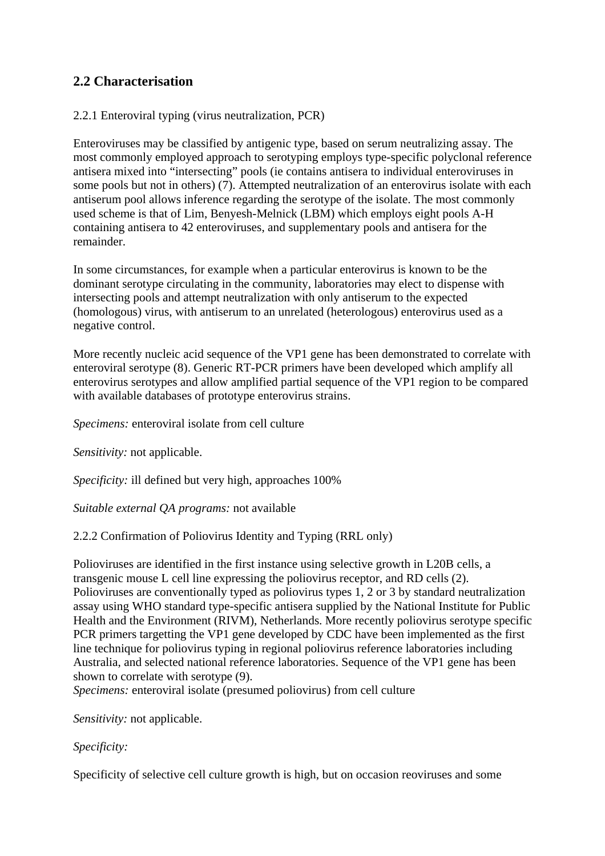# **2.2 Characterisation**

#### 2.2.1 Enteroviral typing (virus neutralization, PCR)

Enteroviruses may be classified by antigenic type, based on serum neutralizing assay. The most commonly employed approach to serotyping employs type-specific polyclonal reference antisera mixed into "intersecting" pools (ie contains antisera to individual enteroviruses in some pools but not in others) (7). Attempted neutralization of an enterovirus isolate with each antiserum pool allows inference regarding the serotype of the isolate. The most commonly used scheme is that of Lim, Benyesh-Melnick (LBM) which employs eight pools A-H containing antisera to 42 enteroviruses, and supplementary pools and antisera for the remainder.

In some circumstances, for example when a particular enterovirus is known to be the dominant serotype circulating in the community, laboratories may elect to dispense with intersecting pools and attempt neutralization with only antiserum to the expected (homologous) virus, with antiserum to an unrelated (heterologous) enterovirus used as a negative control.

More recently nucleic acid sequence of the VP1 gene has been demonstrated to correlate with enteroviral serotype (8). Generic RT-PCR primers have been developed which amplify all enterovirus serotypes and allow amplified partial sequence of the VP1 region to be compared with available databases of prototype enterovirus strains.

*Specimens:* enteroviral isolate from cell culture

*Sensitivity:* not applicable.

*Specificity:* ill defined but very high, approaches 100%

*Suitable external QA programs:* not available

#### 2.2.2 Confirmation of Poliovirus Identity and Typing (RRL only)

Polioviruses are identified in the first instance using selective growth in L20B cells, a transgenic mouse L cell line expressing the poliovirus receptor, and RD cells (2). Polioviruses are conventionally typed as poliovirus types 1, 2 or 3 by standard neutralization assay using WHO standard type-specific antisera supplied by the National Institute for Public Health and the Environment (RIVM), Netherlands. More recently poliovirus serotype specific PCR primers targetting the VP1 gene developed by CDC have been implemented as the first line technique for poliovirus typing in regional poliovirus reference laboratories including Australia, and selected national reference laboratories. Sequence of the VP1 gene has been shown to correlate with serotype (9).

*Specimens:* enteroviral isolate (presumed poliovirus) from cell culture

*Sensitivity:* not applicable.

#### *Specificity:*

Specificity of selective cell culture growth is high, but on occasion reoviruses and some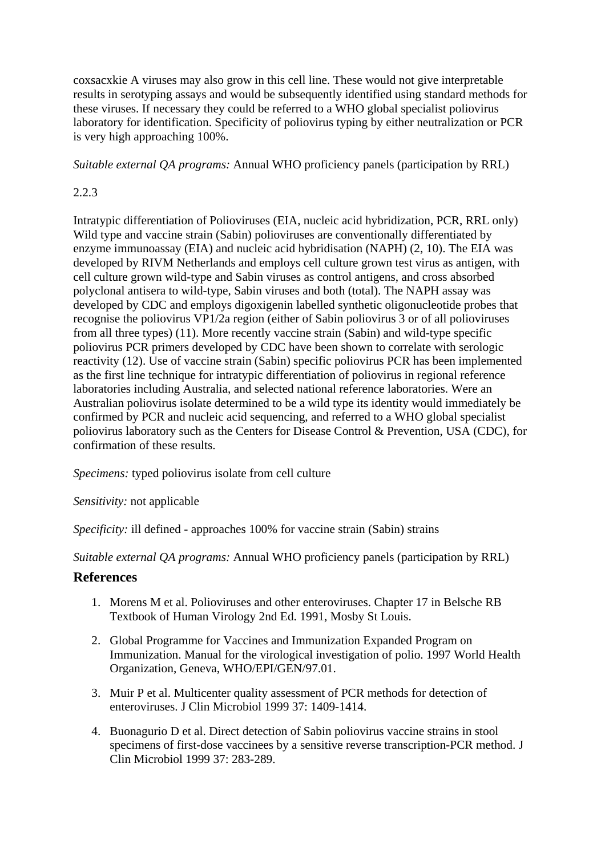coxsacxkie A viruses may also grow in this cell line. These would not give interpretable results in serotyping assays and would be subsequently identified using standard methods for these viruses. If necessary they could be referred to a WHO global specialist poliovirus laboratory for identification. Specificity of poliovirus typing by either neutralization or PCR is very high approaching 100%.

*Suitable external QA programs:* Annual WHO proficiency panels (participation by RRL)

## 2.2.3

Intratypic differentiation of Polioviruses (EIA, nucleic acid hybridization, PCR, RRL only) Wild type and vaccine strain (Sabin) polioviruses are conventionally differentiated by enzyme immunoassay (EIA) and nucleic acid hybridisation (NAPH) (2, 10). The EIA was developed by RIVM Netherlands and employs cell culture grown test virus as antigen, with cell culture grown wild-type and Sabin viruses as control antigens, and cross absorbed polyclonal antisera to wild-type, Sabin viruses and both (total). The NAPH assay was developed by CDC and employs digoxigenin labelled synthetic oligonucleotide probes that recognise the poliovirus VP1/2a region (either of Sabin poliovirus 3 or of all polioviruses from all three types) (11). More recently vaccine strain (Sabin) and wild-type specific poliovirus PCR primers developed by CDC have been shown to correlate with serologic reactivity (12). Use of vaccine strain (Sabin) specific poliovirus PCR has been implemented as the first line technique for intratypic differentiation of poliovirus in regional reference laboratories including Australia, and selected national reference laboratories. Were an Australian poliovirus isolate determined to be a wild type its identity would immediately be confirmed by PCR and nucleic acid sequencing, and referred to a WHO global specialist poliovirus laboratory such as the Centers for Disease Control & Prevention, USA (CDC), for confirmation of these results.

*Specimens:* typed poliovirus isolate from cell culture

*Sensitivity:* not applicable

*Specificity:* ill defined - approaches 100% for vaccine strain (Sabin) strains

*Suitable external QA programs:* Annual WHO proficiency panels (participation by RRL)

### **References**

- 1. Morens M et al. Polioviruses and other enteroviruses. Chapter 17 in Belsche RB Textbook of Human Virology 2nd Ed. 1991, Mosby St Louis.
- 2. Global Programme for Vaccines and Immunization Expanded Program on Immunization. Manual for the virological investigation of polio. 1997 World Health Organization, Geneva, WHO/EPI/GEN/97.01.
- 3. Muir P et al. Multicenter quality assessment of PCR methods for detection of enteroviruses. J Clin Microbiol 1999 37: 1409-1414.
- 4. Buonagurio D et al. Direct detection of Sabin poliovirus vaccine strains in stool specimens of first-dose vaccinees by a sensitive reverse transcription-PCR method. J Clin Microbiol 1999 37: 283-289.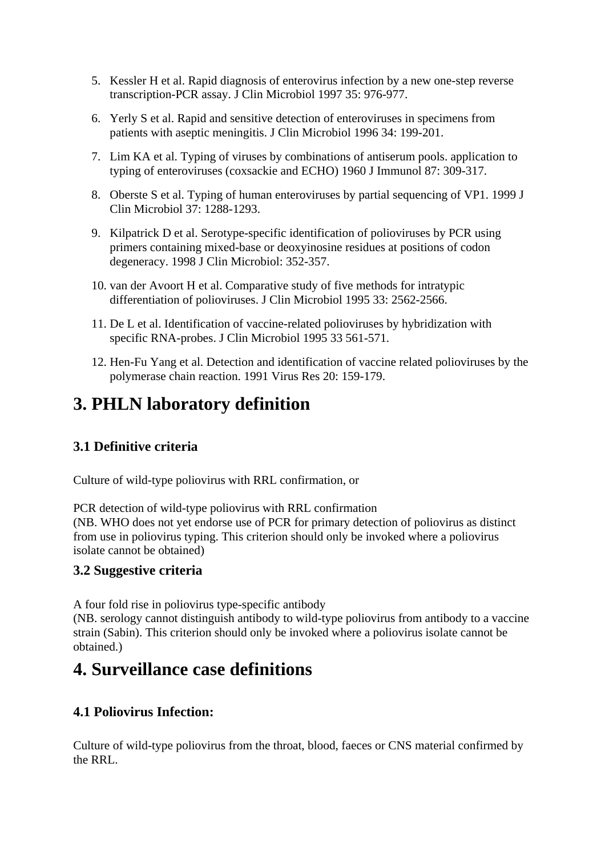- 5. Kessler H et al. Rapid diagnosis of enterovirus infection by a new one-step reverse transcription-PCR assay. J Clin Microbiol 1997 35: 976-977.
- 6. Yerly S et al. Rapid and sensitive detection of enteroviruses in specimens from patients with aseptic meningitis. J Clin Microbiol 1996 34: 199-201.
- 7. Lim KA et al. Typing of viruses by combinations of antiserum pools. application to typing of enteroviruses (coxsackie and ECHO) 1960 J Immunol 87: 309-317.
- 8. Oberste S et al. Typing of human enteroviruses by partial sequencing of VP1. 1999 J Clin Microbiol 37: 1288-1293.
- 9. Kilpatrick D et al. Serotype-specific identification of polioviruses by PCR using primers containing mixed-base or deoxyinosine residues at positions of codon degeneracy. 1998 J Clin Microbiol: 352-357.
- 10. van der Avoort H et al. Comparative study of five methods for intratypic differentiation of polioviruses. J Clin Microbiol 1995 33: 2562-2566.
- 11. De L et al. Identification of vaccine-related polioviruses by hybridization with specific RNA-probes. J Clin Microbiol 1995 33 561-571.
- 12. Hen-Fu Yang et al. Detection and identification of vaccine related polioviruses by the polymerase chain reaction. 1991 Virus Res 20: 159-179.

# **3. PHLN laboratory definition**

# **3.1 Definitive criteria**

Culture of wild-type poliovirus with RRL confirmation, or

PCR detection of wild-type poliovirus with RRL confirmation (NB. WHO does not yet endorse use of PCR for primary detection of poliovirus as distinct from use in poliovirus typing. This criterion should only be invoked where a poliovirus isolate cannot be obtained)

### **3.2 Suggestive criteria**

A four fold rise in poliovirus type-specific antibody

(NB. serology cannot distinguish antibody to wild-type poliovirus from antibody to a vaccine strain (Sabin). This criterion should only be invoked where a poliovirus isolate cannot be obtained.)

# **4. Surveillance case definitions**

### **4.1 Poliovirus Infection:**

Culture of wild-type poliovirus from the throat, blood, faeces or CNS material confirmed by the RRL.